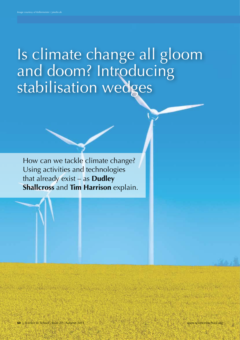# Is climate change all gloom and doom? Introducing stabilisation wedges

How can we tackle climate change? Using activities and technologies that already exist – as **Dudley Shallcross** and **Tim Harrison** explain.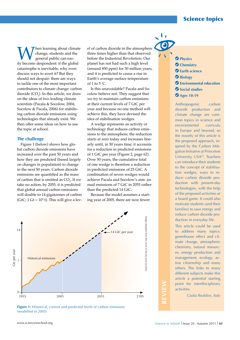**W** change, students and the general public can eas-<br>ily become despondent: if the global change, students and the general public can eascatastrophe is inevitable, why even discuss ways to avert it? But they should not despair: there are ways to tackle one of the most important contributors to climate change: carbon dioxide ( $CO<sub>2</sub>$ ). In this article, we draw on the ideas of two leading climate scientists (Pacala & Socolow, 2004; Socolow & Pacala, 2006) for stabilising carbon dioxide emissions using technologies that already exist. We then offer some ideas on how to use the topic at school.

## **The challenge**

Figure 1 (below) shows how global carbon dioxide emissions have increased over the past 50 years and how they are predicted (based largely on changes in population) to change in the next 50 years. Carbon dioxide emissions are quantified as the mass of carbon that is emitted as  $CO<sub>2</sub>$ . If we take no action, by 2055, it is predicted that global annual carbon emissions will double to 14 gigatonnes of carbon (GtC; 1 Gt =  $10^{\circ}$  t). This will give a level of carbon dioxide in the atmosphere three times higher than that observed before the Industrial Revolution. Our planet has not had such a high level (around 850 ppm) for 30 million years, and it is predicted to cause a rise in Earth's average surface temperature of 1 to 5  $\degree$ C.

Is this unavoidable? Pacala and Socolow believe not. They suggest that we try to maintain carbon emissions at their current levels of 7 GtC per year and because no one method will achieve this, they have devised the idea of stabilisation wedges.

A wedge represents an activity or technology that reduces carbon emissions to the atmosphere; the reduction starts at zero today and increases linearly until, in 50 years time, it accounts for a reduction in predicted emissions of 1 GtC per year (Figure 2, page 62). Over 50 years, the cumulative total of one wedge is therefore a reduction in predicted emissions of 25 GtC. A combination of seven wedges would achieve Pacala and Socolow's aim: annual emissions of 7 GtC in 2055 rather than the predicted 14 GtC.

Because the model assumes a starting year of 2005, there are now fewer



**Figure 1:** Historical, current and predicted levels of carbon emissions (modelled in 2005)

- **Physics Chemistry Earth science**
- **Biology**
- **Environmental education**
- $\bullet$  **Social studies**
- **Ages 10-19**

Anthropogenic carbon dioxide production and climate change are common topics in science and environmental curricula in Europe and beyond, so the novelty of this article is the proposed approach, inspired by the Carbon Mitigation Initiative at Princeton University, USAw1. Teachers can introduce their students to the concept of stabilisation wedges, ways to reduce carbon dioxide production with present-day technologies, with the help of the proposed activities or a board game. It could also motivate students (and their families) to save energy and reduce carbon dioxide production in everyday life.

This article could be used to address many topics: greenhouse effect and climate change, atmospheric chemistry, natural resources, energy production and management, ecology, active citizenship and many others. The links to many different subjects make this article a potential starting point for interdisciplinary activities.

*Giulia Realdon, Italy*

**REVIEW**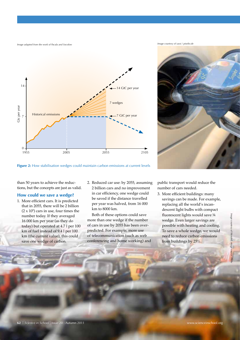*Image adapted from the work of Pacala and Socolow*





**Figure 2:** How stabilisation wedges could maintain carbon emissions at current levels

than 50 years to achieve the reductions, but the concepts are just as valid.

## **How could we save a wedge?**

- 1. More efficient cars. It is predicted that in 2055, there will be 2 billion  $(2 \times 10^9)$  cars in use, four times the number today. If they averaged 16 000 km per year (as they do today) but operated at 4.7 l per 100 km of fuel instead of 9.4 l per 100 km (the current value), this could save one wedge of carbon.
- 2. Reduced car use: by 2055, assuming 2 billion cars and no improvement in car efficiency, one wedge could be saved if the distance travelled per year was halved, from 16 000 km to 8000 km.

Both of these options could save more than one wedge if the number of cars in use by 2055 has been overpredicted. For example, more use of telecommunication (such as web conferencing and home working) and

public transport would reduce the number of cars needed.

3. More efficient buildings: many savings can be made. For example, replacing all the world's incandescent light bulbs with compact fluorescent lights would save 1/4 wedge. Even larger savings are possible with heating and cooling. To save a whole wedge, we would need to reduce carbon emissions from buildings by 25%.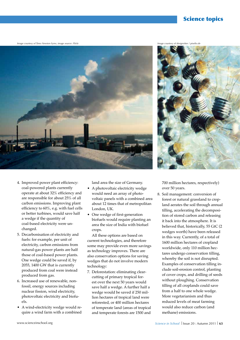## Science topics

*Image courtesy of Timo Newton-Syms; image source: Flickr*





- 4. Improved power plant efficiency: coal-powered plants currently operate at about 32% efficiency and are responsible for about 25% of all carbon emissions. Improving plant efficiency to 60%, e.g. with fuel cells or better turbines, would save half a wedge if the quantity of coal-based electricity were unchanged.
- 5. Decarbonisation of electricity and fuels: for example, per unit of electricity, carbon emissions from natural-gas power plants are half those of coal-based power plants. One wedge could be saved if, by 2055, 1400 GW that is currently produced from coal were instead produced from gas.
- 6. Increased use of renewable, nonfossil, energy sources including nuclear fission, wind electricity, photovoltaic electricity and biofuels.
- A wind-electricity wedge would require a wind farm with a combined

land area the size of Germany.

- A photovoltaic electricity wedge would need an array of photovoltaic panels with a combined area about 12 times that of metropolitan London, UK.
- One wedge of first-generation biofuels would require planting an area the size of India with biofuel crops.

All these options are based on current technologies, and therefore some may provide even more savings as technology improves. There are also conservation options for saving wedges that do not involve modern technology:

7. Deforestation: eliminating clearcutting of primary tropical forest over the next 50 years would save half a wedge. A further half a wedge would be saved if 250 million hectares of tropical land were reforested, or 400 million hectares of temperate land (areas of tropical and temperate forests are 1500 and 700 million hectares, respectively) over 50 years.

8. Soil management: conversion of forest or natural grassland to cropland aerates the soil through annual tilling, accelerating the decomposition of stored carbon and releasing it back into the atmosphere. It is believed that, historically, 55 GtC (2 wedges worth) have been released in this way. Currently, of a total of 1600 million hectares of cropland worldwide, only 110 million hectares undergo conservation tilling, whereby the soil is not disrupted. Examples of conservation tilling include soil-erosion control, planting of cover crops, and drilling of seeds without ploughing. Conservation tilling of all croplands could save from a half to one whole wedge. More vegetarianism and thus reduced levels of meat farming would also reduce carbon (and methane) emissions.

*Image courtesy of designritter / pixelio.de*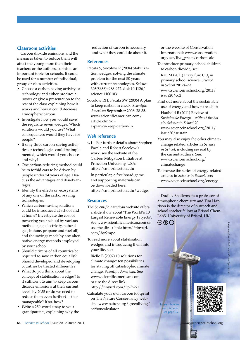## **Classroom activities**

Carbon dioxide emissions and the measures taken to reduce them will affect the young more than their teachers or the authors, so this is an important topic for schools. It could be used for a number of individual, group or class activities.

- Choose a carbon-saving activity or technology and either produce a poster or give a presentation to the rest of the class explaining how it works and how it could decrease atmospheric carbon.
- Investigate how you would save the requisite seven wedges. Which solutions would you use? What consequences would they have for people?
- If only three carbon-saving activities or technologies could be implemented, which would you choose and why?
- One carbon-reducing method could be to forbid cars to be driven by people under 24 years of age. Discuss the advantages and disadvantages.
- Identify the effects on ecosystems of any one of the carbon-saving technologies.
- Which carbon-saving solutions could be introduced at school and at home? Investigate the cost of powering your school by various methods (e.g. electricity, natural gas, butane, propane and fuel oil) and the savings made by any alternative-energy methods employed by your school.
- Should citizens of all countries be required to save carbon equally? Should developed and developing countries be treated differently?
- What do you think about the concept of stabilisation wedges? Is it sufficient to aim to keep carbon dioxide emissions at their current levels by 2055 or do we need to reduce them even further? Is that manageable? If so, how?
- Write a 250-word essay to your grandparents, explaining why the

reduction of carbon is necessary and what they could do about it.

## **References**

- Pacala S, Socolow R (2004) Stabilization wedges: solving the climate problem for the next 50 years with current technologies. *Science* **305(5686)**: 968-972. doi: 10.1126/ science.1100103
- Socolow RH, Pacala SW (2006) A plan to keep carbon in check. *Scientific American* **September 2006**: 28-35. www.scientificamerican.com/ article.cfm?id= a-plan-to-keep-carbon-in

## **Web reference**

w1 – For further details about Stephen Pacala and Robert Socolow's work, see the website of the Carbon Mitigation Initiative at Princeton University, USA: http://cmi.princeton.edu

In particular, a free board game and supporting materials can be downloaded here: http://cmi.princeton.edu/wedges

## **Resources**

- The *Scientific American* website offers a slide show about 'The World's 10 Largest Renewable Energy Projects'. See www.scientificamerican.com or use the direct link: http://tinyurl. com/3qr2mpc
- To read more about stabilisation wedges and introducing them into your life, see:

Biello B (2007) 10 solutions for climate change: ten possibilities for staving off catastrophic climate change. *Scientific American*. See www.scientificamerican.com or use the direct link: http://tinyurl.com/3p9h22r

Calculate your own carbon footprint on The Nature Conservancy website: www.nature.org/greenliving/ carboncalculator

or the website of Conservation International: www.conservation. org/act/live\_green/carboncalc

To introduce primary-school children to carbon dioxide, see:

Rau M (2011) Fizzy fun:  $CO<sub>2</sub>$  in primary school science. *Science in School* **20**: 24-29. www.scienceinschool.org/2011/ issue20/co2

Find out more about the sustainable use of energy and how to teach it:

Haubold B (2011) Review of *Sustainable Energy – without the hot air*. *Science in School* **20**. www.scienceinschool.org/2011/ issue20/sustain

- You may also enjoy the other climatechange related articles in *Science in School*, including several by the current authors. See: www.scienceinschool.org/ climatechange
- To browse the series of energy-related articles in *Science in School*, see: www.scienceinschool.org/energy

Dudley Shallcross is a professor of atmospheric chemistry and Tim Harrison is the director of outreach and school teacher fellow at Bristol Chem-LabS, University of Bristol, UK.



To learn how to se this code, see page 65.

BONUS